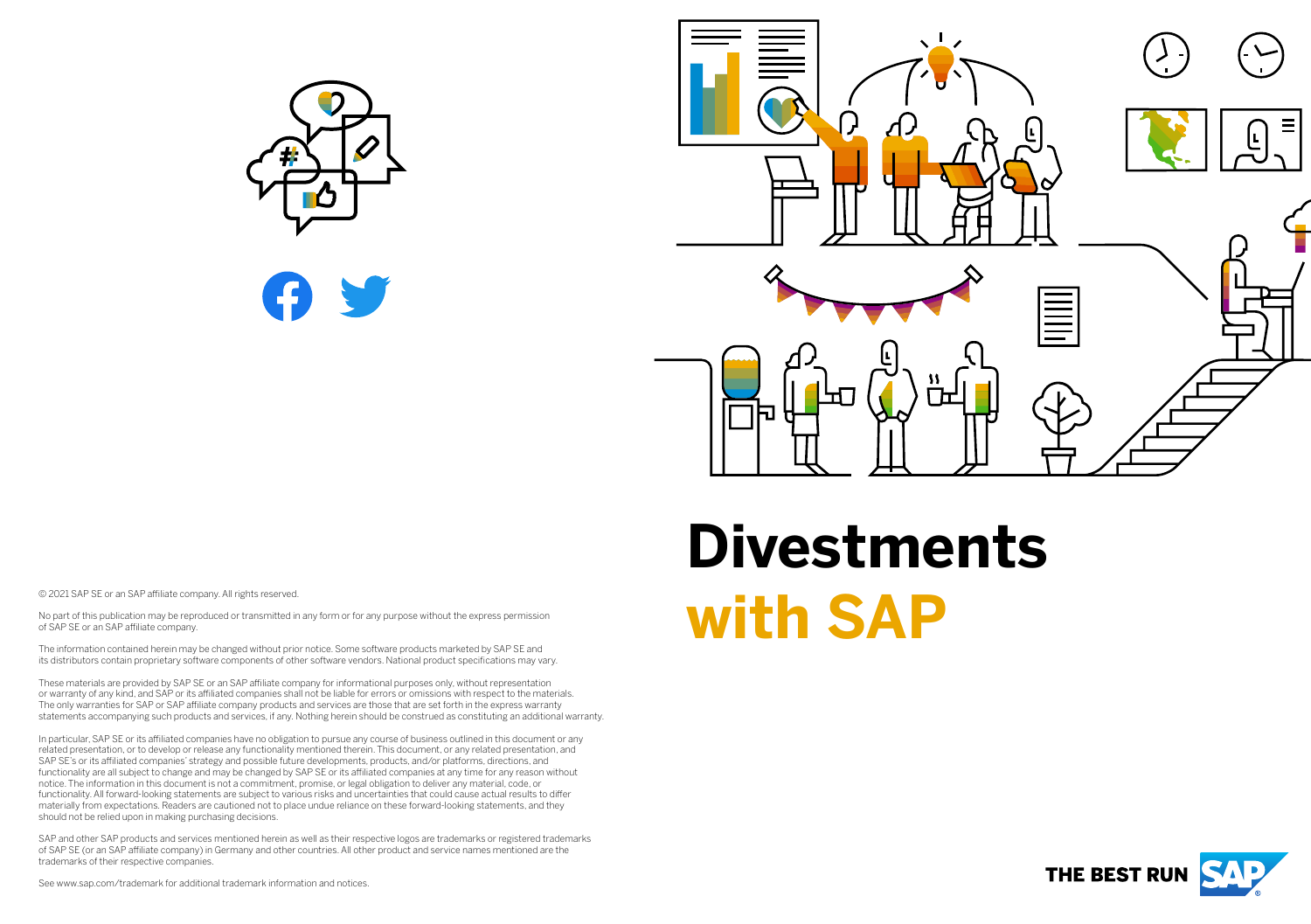



# **Divestments WE DESCRIP SE OF an SAP affiliate company. All rights reserved.**<br>No part of this publication may be reproduced or transmitted in any form or for any purpose without the express permission<br>of SAP SE or an SAP affiliate com

No part of this publication may be reproduced or transmitted in any form or for any purpose without the express permission of SAP SE or an SAP affiliate company.

The information contained herein may be changed without prior notice. Some software products marketed by SAP SE and its distributors contain proprietary software components of other software vendors. National product specifications may vary.

These materials are provided by SAP SE or an SAP affiliate company for informational purposes only, without representation or warranty of any kind, and SAP or its affiliated companies shall not be liable for errors or omissions with respect to the materials. The only warranties for SAP or SAP affiliate company products and services are those that are set forth in the express warranty statements accompanying such products and services, if any. Nothing herein should be construed as constituting an additional warranty.

In particular, SAP SE or its affiliated companies have no obligation to pursue any course of business outlined in this document or any related presentation, or to develop or release any functionality mentioned therein. This document, or any related presentation, and SAP SE's or its affiliated companies' strategy and possible future developments, products, and/or platforms, directions, and functionality are all subject to change and may be changed by SAP SE or its affiliated companies at any time for any reason without notice. The information in this document is not a commitment, promise, or legal obligation to deliver any material, code, or functionality. All forward-looking statements are subject to various risks and uncertainties that could cause actual results to differ materially from expectations. Readers are cautioned not to place undue reliance on these forward-looking statements, and they should not be relied upon in making purchasing decisions.

SAP and other SAP products and services mentioned herein as well as their respective logos are trademarks or registered trademarks of SAP SE (or an SAP affiliate company) in Germany and other countries. All other product and service names mentioned are the trademarks of their respective companies.



See www.sap.com/trademark for additional trademark information and notices.